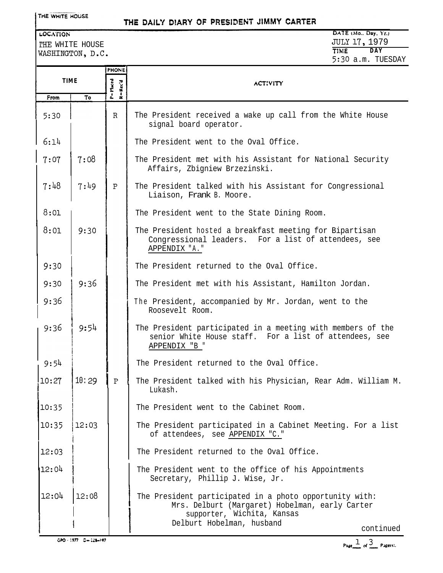THE WHITE HOUSE

## THE DAILY DIARY OF PRESIDENT JIMMY CARTER

LOCATION rHE WHITE HOUSE WASHINGTON, D.C.

DATE (Mo., Day, Yr.) JULY 17, 1979 **TIME DAY**  $5:30 \land m$  TUESDAY

|             |       | PHONE                   |                                                                                                                                                                                   |
|-------------|-------|-------------------------|-----------------------------------------------------------------------------------------------------------------------------------------------------------------------------------|
| <b>TIME</b> |       |                         | <b>ACTIVITY</b>                                                                                                                                                                   |
| From        | To    | P=Placed<br>$R = Rcc'd$ |                                                                                                                                                                                   |
| 5:30        |       | $\mathbb R$             | The President received a wake up call from the White House<br>signal board operator.                                                                                              |
| 6:14        |       |                         | The President went to the Oval Office.                                                                                                                                            |
| 7:07        | 7:08  |                         | The President met with his Assistant for National Security<br>Affairs, Zbigniew Brzezinski.                                                                                       |
| 7:48        | 7:49  | P                       | The President talked with his Assistant for Congressional<br>Liaison, Frank B. Moore.                                                                                             |
| 8:01        |       |                         | The President went to the State Dining Room.                                                                                                                                      |
| 8:01        | 9:30  |                         | The President hosted a breakfast meeting for Bipartisan<br>Congressional leaders. For a list of attendees, see<br>APPENDIX "A."                                                   |
| 9:30        |       |                         | The President returned to the Oval Office.                                                                                                                                        |
| 9:30        | 9:36  |                         | The President met with his Assistant, Hamilton Jordan.                                                                                                                            |
| 9:36        |       |                         | The President, accompanied by Mr. Jordan, went to the<br>Roosevelt Room.                                                                                                          |
| 9:36        | 9:54  |                         | The President participated in a meeting with members of the<br>senior White House staff. For a list of attendees, see<br>APPENDIX "B "                                            |
| 9:54        |       |                         | The President returned to the Oval Office.                                                                                                                                        |
| !10:27      | 10:29 | $\rm P$                 | The President talked with his Physician, Rear Adm. William M.<br>Lukash.                                                                                                          |
| 10:35       |       |                         | The President went to the Cabinet Room.                                                                                                                                           |
| 10:35       | 12:03 |                         | The President participated in a Cabinet Meeting. For a list<br>of attendees, see APPENDIX "C."                                                                                    |
| 12:03       |       |                         | The President returned to the Oval Office.                                                                                                                                        |
| 12:04       |       |                         | The President went to the office of his Appointments<br>Secretary, Phillip J. Wise, Jr.                                                                                           |
| 12:04       | 12:08 |                         | The President participated in a photo opportunity with:<br>Mrs. Delburt (Margaret) Hobelman, early Carter<br>supporter, Wichita, Kansas<br>Delburt Hobelman, husband<br>continued |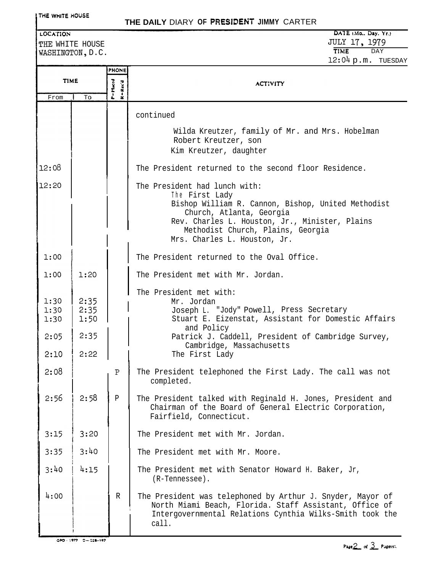| <b>LOCATION</b>              | THE WHITE HOUSE              |                       | DATE (Mo., Day, Yr.)<br>JULY 17, 1979                                                                                                                                                                                                                    |  |  |
|------------------------------|------------------------------|-----------------------|----------------------------------------------------------------------------------------------------------------------------------------------------------------------------------------------------------------------------------------------------------|--|--|
|                              | WASHINGTON, D.C.             |                       | <b>TIME</b><br><b>DAY</b><br>12:04 p.m. TUESDAY                                                                                                                                                                                                          |  |  |
|                              |                              | <b>PHONE</b>          |                                                                                                                                                                                                                                                          |  |  |
|                              | <b>TIME</b>                  |                       | <b>ACTIVITY</b>                                                                                                                                                                                                                                          |  |  |
| From                         | To                           | P=14ed<br>$R = Rec'd$ |                                                                                                                                                                                                                                                          |  |  |
|                              |                              |                       | continued                                                                                                                                                                                                                                                |  |  |
|                              |                              |                       | Wilda Kreutzer, family of Mr. and Mrs. Hobelman<br>Robert Kreutzer, son<br>Kim Kreutzer, daughter                                                                                                                                                        |  |  |
| 12:08                        |                              |                       | The President returned to the second floor Residence.                                                                                                                                                                                                    |  |  |
| 12:20                        |                              |                       | The President had lunch with:<br>The First Lady<br>Bishop William R. Cannon, Bishop, United Methodist<br>Church, Atlanta, Georgia<br>Rev. Charles L. Houston, Jr., Minister, Plains<br>Methodist Church, Plains, Georgia<br>Mrs. Charles L. Houston, Jr. |  |  |
| 1:00                         |                              |                       | The President returned to the Oval Office.                                                                                                                                                                                                               |  |  |
| 1:00                         | 1:20                         |                       | The President met with Mr. Jordan.                                                                                                                                                                                                                       |  |  |
| 1:30<br>1:30<br>1:30<br>2:05 | 2:35<br>2:35<br>1:50<br>2:35 |                       | The President met with:<br>Mr. Jordan<br>Joseph L. "Jody" Powell, Press Secretary<br>Stuart E. Eizenstat, Assistant for Domestic Affairs<br>and Policy<br>Patrick J. Caddell, President of Cambridge Survey,                                             |  |  |
| 2:10                         | 2:22                         |                       | Cambridge, Massachusetts<br>The First Lady                                                                                                                                                                                                               |  |  |
| 2:08                         |                              | Ρ                     | The President telephoned the First Lady. The call was not<br>completed.                                                                                                                                                                                  |  |  |
| 2:56                         | 2:58                         | $\, {\bf p}$          | The President talked with Reginald H. Jones, President and<br>Chairman of the Board of General Electric Corporation,<br>Fairfield, Connecticut.                                                                                                          |  |  |
| 3:15                         | 3:20                         |                       | The President met with Mr. Jordan.                                                                                                                                                                                                                       |  |  |
| 3:35                         | 3:40                         |                       | The President met with Mr. Moore.                                                                                                                                                                                                                        |  |  |
| 3:40                         | 4:15                         |                       | The President met with Senator Howard H. Baker, Jr,<br>(R-Tennessee).                                                                                                                                                                                    |  |  |
| 4:00                         |                              | R                     | The President was telephoned by Arthur J. Snyder, Mayor of<br>North Miami Beach, Florida. Staff Assistant, Office of<br>Intergovernmental Relations Cynthia Wilks-Smith took the<br>call.                                                                |  |  |